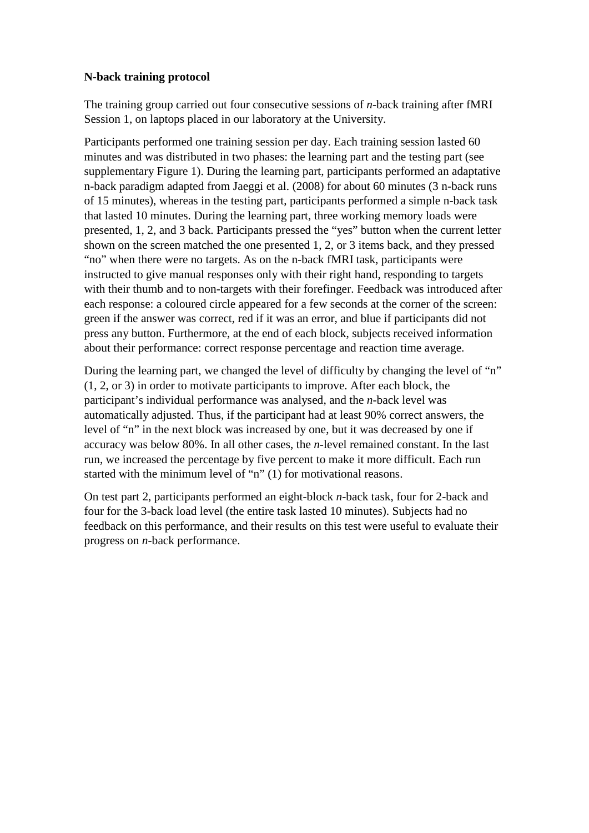## **N-back training protocol**

The training group carried out four consecutive sessions of *n*-back training after fMRI Session 1, on laptops placed in our laboratory at the University.

Participants performed one training session per day. Each training session lasted 60 minutes and was distributed in two phases: the learning part and the testing part (see supplementary Figure 1). During the learning part, participants performed an adaptative n-back paradigm adapted from Jaeggi et al. (2008) for about 60 minutes (3 n-back runs of 15 minutes), whereas in the testing part, participants performed a simple n-back task that lasted 10 minutes. During the learning part, three working memory loads were presented, 1, 2, and 3 back. Participants pressed the "yes" button when the current letter shown on the screen matched the one presented 1, 2, or 3 items back, and they pressed "no" when there were no targets. As on the n-back fMRI task, participants were instructed to give manual responses only with their right hand, responding to targets with their thumb and to non-targets with their forefinger. Feedback was introduced after each response: a coloured circle appeared for a few seconds at the corner of the screen: green if the answer was correct, red if it was an error, and blue if participants did not press any button. Furthermore, at the end of each block, subjects received information about their performance: correct response percentage and reaction time average.

During the learning part, we changed the level of difficulty by changing the level of "n" (1, 2, or 3) in order to motivate participants to improve. After each block, the participant's individual performance was analysed, and the *n*-back level was automatically adjusted. Thus, if the participant had at least 90% correct answers, the level of "n" in the next block was increased by one, but it was decreased by one if accuracy was below 80%. In all other cases, the *n*-level remained constant. In the last run, we increased the percentage by five percent to make it more difficult. Each run started with the minimum level of "n" (1) for motivational reasons.

On test part 2, participants performed an eight-block *n*-back task, four for 2-back and four for the 3-back load level (the entire task lasted 10 minutes). Subjects had no feedback on this performance, and their results on this test were useful to evaluate their progress on *n*-back performance.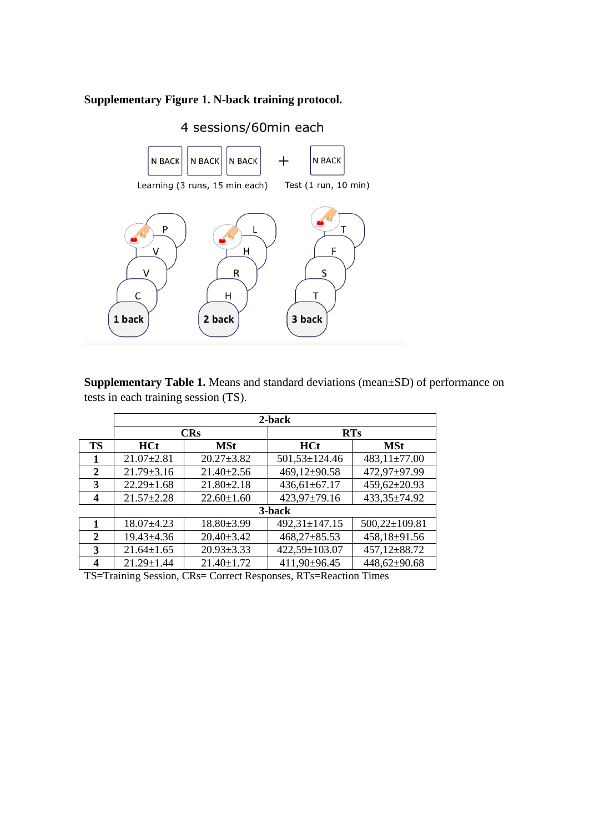## **Supplementary Figure 1. N-back training protocol.**



**Supplementary Table 1.** Means and standard deviations (mean±SD) of performance on tests in each training session (TS).

|                | 2-back           |                  |                  |                     |  |  |  |  |
|----------------|------------------|------------------|------------------|---------------------|--|--|--|--|
|                | <b>CRs</b>       |                  | <b>RTs</b>       |                     |  |  |  |  |
| <b>TS</b>      | <b>HCt</b>       | <b>MSt</b>       | <b>HCt</b>       | <b>MSt</b>          |  |  |  |  |
|                | $21.07 \pm 2.81$ | $20.27 \pm 3.82$ | 501,53±124.46    | $483,11\pm 77.00$   |  |  |  |  |
| 2              | $21.79 \pm 3.16$ | $21.40 \pm 2.56$ | 469,12±90.58     | 472,97±97.99        |  |  |  |  |
| 3              | $22.29 \pm 1.68$ | $21.80 \pm 2.18$ | 436,61±67.17     | $459,62 \pm 20.93$  |  |  |  |  |
| 4              | $21.57 \pm 2.28$ | $22.60 \pm 1.60$ | 423,97±79.16     | 433,35±74.92        |  |  |  |  |
|                | 3-back           |                  |                  |                     |  |  |  |  |
| 1              | $18.07 \pm 4.23$ | $18.80{\pm}3.99$ | 492,31±147.15    | $500,22 \pm 109.81$ |  |  |  |  |
| $\overline{2}$ | $19.43{\pm}4.36$ | $20.40 \pm 3.42$ | $468,27\pm85.53$ | 458,18±91.56        |  |  |  |  |
| 3              | $21.64 \pm 1.65$ | $20.93 \pm 3.33$ | 422,59±103.07    | 457,12±88.72        |  |  |  |  |
| 4              | $21.29 \pm 1.44$ | $21.40 \pm 1.72$ | 411,90±96.45     | 448,62±90.68        |  |  |  |  |

TS=Training Session, CRs= Correct Responses, RTs=Reaction Times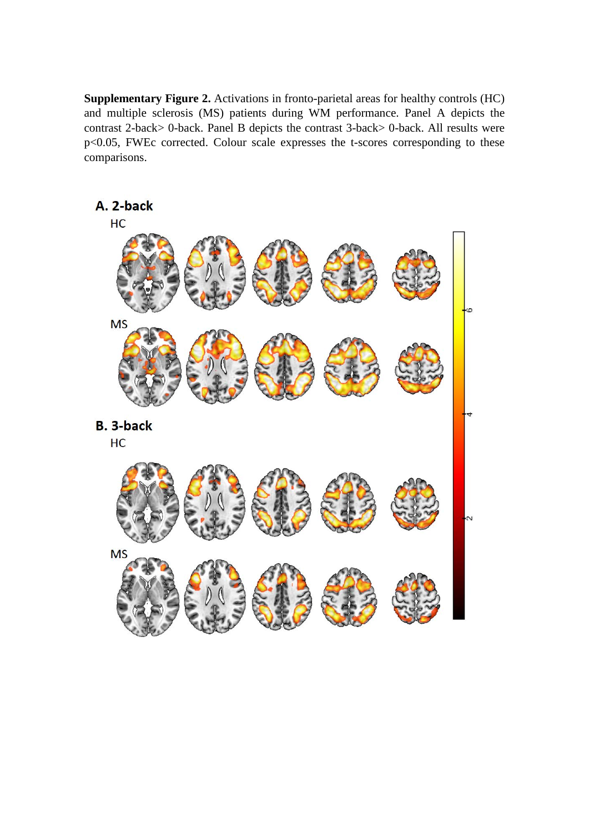**Supplementary Figure 2.** Activations in fronto-parietal areas for healthy controls (HC) and multiple sclerosis (MS) patients during WM performance. Panel A depicts the contrast 2-back> 0-back. Panel B depicts the contrast 3-back> 0-back. All results were p<0.05, FWEc corrected. Colour scale expresses the t-scores corresponding to these comparisons.

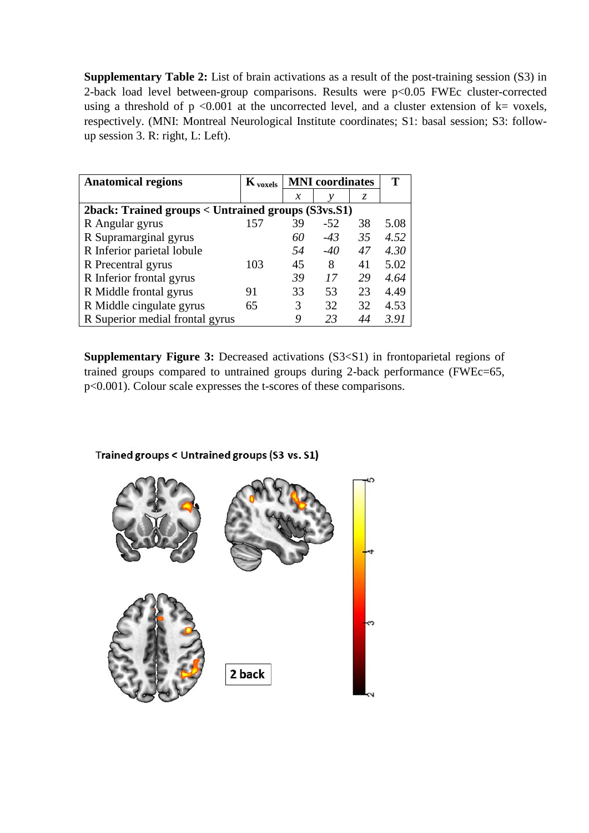**Supplementary Table 2:** List of brain activations as a result of the post-training session (S3) in 2-back load level between-group comparisons. Results were p<0.05 FWEc cluster-corrected using a threshold of  $p \le 0.001$  at the uncorrected level, and a cluster extension of  $k=$  voxels, respectively. (MNI: Montreal Neurological Institute coordinates; S1: basal session; S3: followup session 3. R: right, L: Left).

| <b>Anatomical regions</b>                          | $\mathbf{K}_{\text{voxels}}$ | <b>MNI</b> coordinates |       |    | т    |  |  |  |  |
|----------------------------------------------------|------------------------------|------------------------|-------|----|------|--|--|--|--|
|                                                    |                              | $\mathcal{X}$          | ν     | Z. |      |  |  |  |  |
| 2back: Trained groups < Untrained groups (S3vs.S1) |                              |                        |       |    |      |  |  |  |  |
| R Angular gyrus                                    | 157                          | 39                     | $-52$ | 38 | 5.08 |  |  |  |  |
| R Supramarginal gyrus                              |                              | 60                     | $-43$ | 35 | 4.52 |  |  |  |  |
| R Inferior parietal lobule                         |                              | .54                    | $-40$ | 47 | 4.30 |  |  |  |  |
| R Precentral gyrus                                 | 103                          | 45                     | 8     | 41 | 5.02 |  |  |  |  |
| R Inferior frontal gyrus                           |                              | 39                     | 17    | 29 | 4.64 |  |  |  |  |
| R Middle frontal gyrus                             | 91                           | 33                     | 53    | 23 | 4.49 |  |  |  |  |
| R Middle cingulate gyrus                           | 65                           | 3                      | 32    | 32 | 4.53 |  |  |  |  |
| R Superior medial frontal gyrus                    |                              | 9                      | 23    |    | 3.91 |  |  |  |  |

**Supplementary Figure 3:** Decreased activations (S3<S1) in frontoparietal regions of trained groups compared to untrained groups during 2-back performance (FWEc=65, p<0.001). Colour scale expresses the t-scores of these comparisons.



Trained groups < Untrained groups (S3 vs. S1)